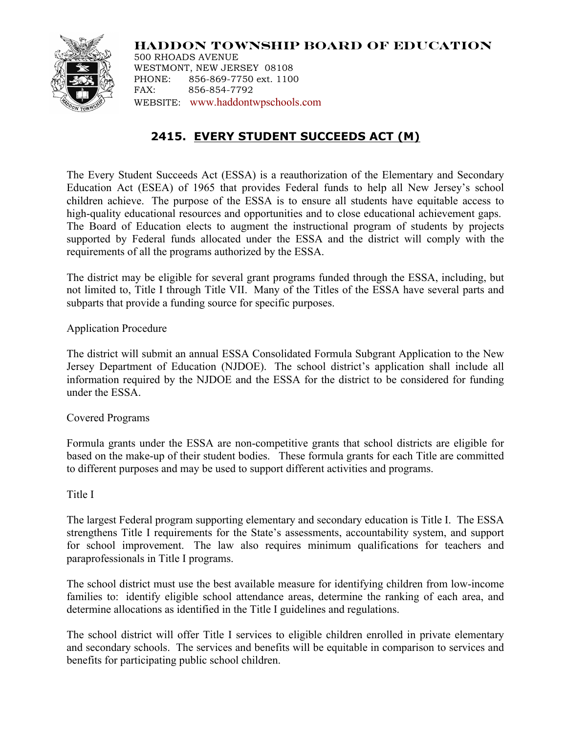

**HADDON TOWNSHIP BOARD OF EDUCATION** 500 RHOADS AVENUE WESTMONT, NEW JERSEY 08108 PHONE: 856-869-7750 ext. 1100 FAX: 856-854-7792

WEBSITE: www.haddontwpschools.com

# **2415. EVERY STUDENT SUCCEEDS ACT (M)**

The Every Student Succeeds Act (ESSA) is a reauthorization of the Elementary and Secondary Education Act (ESEA) of 1965 that provides Federal funds to help all New Jersey's school children achieve. The purpose of the ESSA is to ensure all students have equitable access to high-quality educational resources and opportunities and to close educational achievement gaps. The Board of Education elects to augment the instructional program of students by projects supported by Federal funds allocated under the ESSA and the district will comply with the requirements of all the programs authorized by the ESSA.

The district may be eligible for several grant programs funded through the ESSA, including, but not limited to, Title I through Title VII. Many of the Titles of the ESSA have several parts and subparts that provide a funding source for specific purposes.

Application Procedure

The district will submit an annual ESSA Consolidated Formula Subgrant Application to the New Jersey Department of Education (NJDOE). The school district's application shall include all information required by the NJDOE and the ESSA for the district to be considered for funding under the ESSA.

Covered Programs

Formula grants under the ESSA are non-competitive grants that school districts are eligible for based on the make-up of their student bodies. These formula grants for each Title are committed to different purposes and may be used to support different activities and programs.

## Title I

The largest Federal program supporting elementary and secondary education is Title I. The ESSA strengthens Title I requirements for the State's assessments, accountability system, and support for school improvement. The law also requires minimum qualifications for teachers and paraprofessionals in Title I programs.

The school district must use the best available measure for identifying children from low-income families to: identify eligible school attendance areas, determine the ranking of each area, and determine allocations as identified in the Title I guidelines and regulations.

The school district will offer Title I services to eligible children enrolled in private elementary and secondary schools. The services and benefits will be equitable in comparison to services and benefits for participating public school children.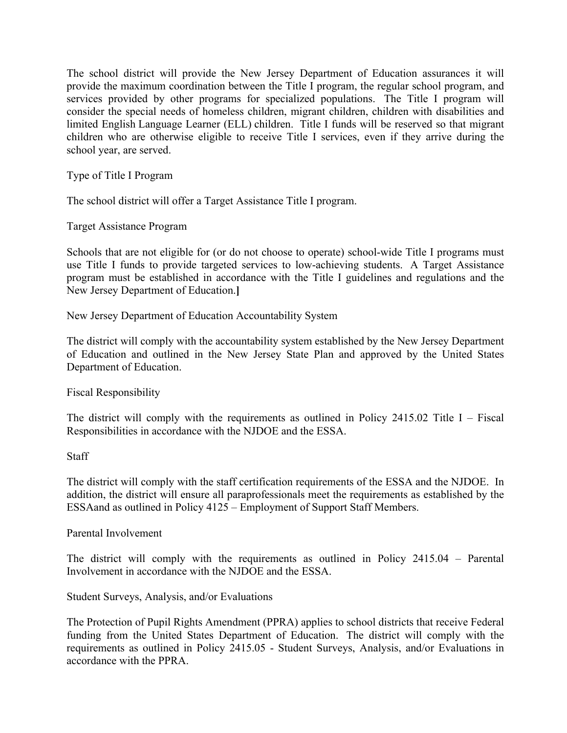The school district will provide the New Jersey Department of Education assurances it will provide the maximum coordination between the Title I program, the regular school program, and services provided by other programs for specialized populations. The Title I program will consider the special needs of homeless children, migrant children, children with disabilities and limited English Language Learner (ELL) children. Title I funds will be reserved so that migrant children who are otherwise eligible to receive Title I services, even if they arrive during the school year, are served.

Type of Title I Program

The school district will offer a Target Assistance Title I program.

Target Assistance Program

Schools that are not eligible for (or do not choose to operate) school-wide Title I programs must use Title I funds to provide targeted services to low-achieving students. A Target Assistance program must be established in accordance with the Title I guidelines and regulations and the New Jersey Department of Education.**]**

New Jersey Department of Education Accountability System

The district will comply with the accountability system established by the New Jersey Department of Education and outlined in the New Jersey State Plan and approved by the United States Department of Education.

Fiscal Responsibility

The district will comply with the requirements as outlined in Policy  $2415.02$  Title I – Fiscal Responsibilities in accordance with the NJDOE and the ESSA.

**Staff** 

The district will comply with the staff certification requirements of the ESSA and the NJDOE. In addition, the district will ensure all paraprofessionals meet the requirements as established by the ESSAand as outlined in Policy 4125 – Employment of Support Staff Members.

Parental Involvement

The district will comply with the requirements as outlined in Policy 2415.04 – Parental Involvement in accordance with the NJDOE and the ESSA.

Student Surveys, Analysis, and/or Evaluations

The Protection of Pupil Rights Amendment (PPRA) applies to school districts that receive Federal funding from the United States Department of Education. The district will comply with the requirements as outlined in Policy 2415.05 - Student Surveys, Analysis, and/or Evaluations in accordance with the PPRA.